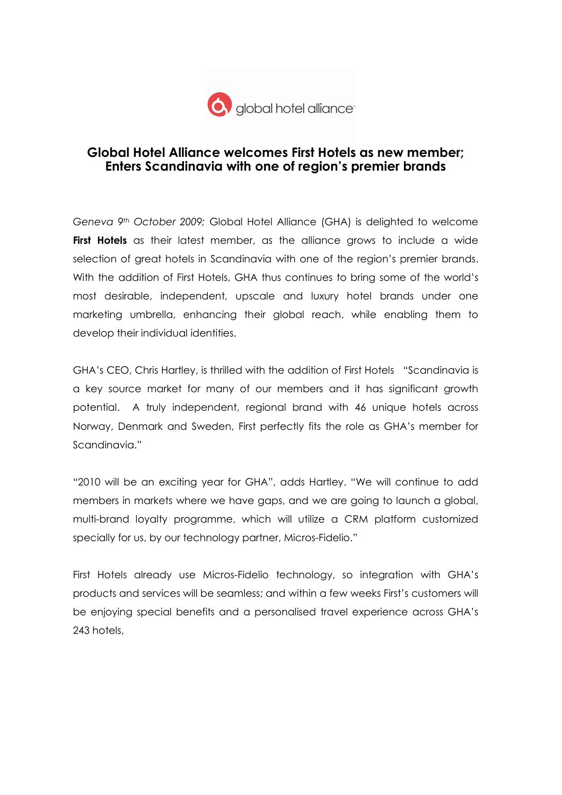

## Global Hotel Alliance welcomes First Hotels as new member; Enters Scandinavia with one of region's premier brands

Geneva 9th October 2009; Global Hotel Alliance (GHA) is delighted to welcome First Hotels as their latest member, as the alliance grows to include a wide selection of great hotels in Scandinavia with one of the region's premier brands. With the addition of First Hotels, GHA thus continues to bring some of the world's most desirable, independent, upscale and luxury hotel brands under one marketing umbrella, enhancing their global reach, while enabling them to develop their individual identities.

GHA's CEO, Chris Hartley, is thrilled with the addition of First Hotels "Scandinavia is a key source market for many of our members and it has significant growth potential. A truly independent, regional brand with 46 unique hotels across Norway, Denmark and Sweden, First perfectly fits the role as GHA's member for Scandinavia."

"2010 will be an exciting year for GHA", adds Hartley. "We will continue to add members in markets where we have gaps, and we are going to launch a global, multi-brand loyalty programme, which will utilize a CRM platform customized specially for us, by our technology partner, Micros-Fidelio."

First Hotels already use Micros-Fidelio technology, so integration with GHA's products and services will be seamless; and within a few weeks First's customers will be enjoying special benefits and a personalised travel experience across GHA's 243 hotels,